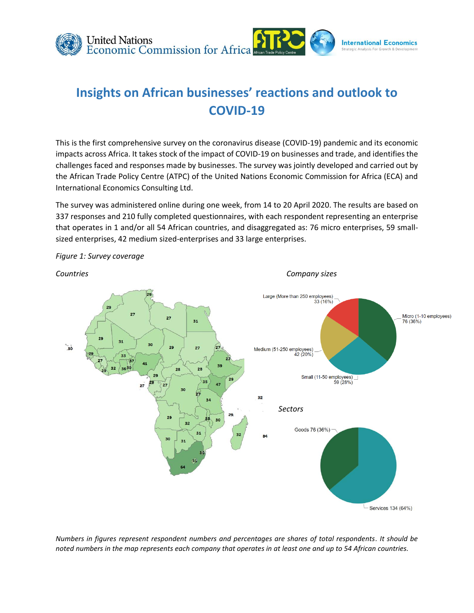

# **Insights on African businesses' reactions and outlook to COVID-19**

This is the first comprehensive survey on the coronavirus disease (COVID-19) pandemic and its economic impacts across Africa. It takes stock of the impact of COVID-19 on businesses and trade, and identifies the challenges faced and responses made by businesses. The survey was jointly developed and carried out by the African Trade Policy Centre (ATPC) of the United Nations Economic Commission for Africa (ECA) and International Economics Consulting Ltd.

The survey was administered online during one week, from 14 to 20 April 2020. The results are based on 337 responses and 210 fully completed questionnaires, with each respondent representing an enterprise that operates in 1 and/or all 54 African countries, and disaggregated as: 76 micro enterprises, 59 smallsized enterprises, 42 medium sized-enterprises and 33 large enterprises.



*Figure 1: Survey coverage* 

*Numbers in figures represent respondent numbers and percentages are shares of total respondents. It should be noted numbers in the map represents each company that operates in at least one and up to 54 African countries.*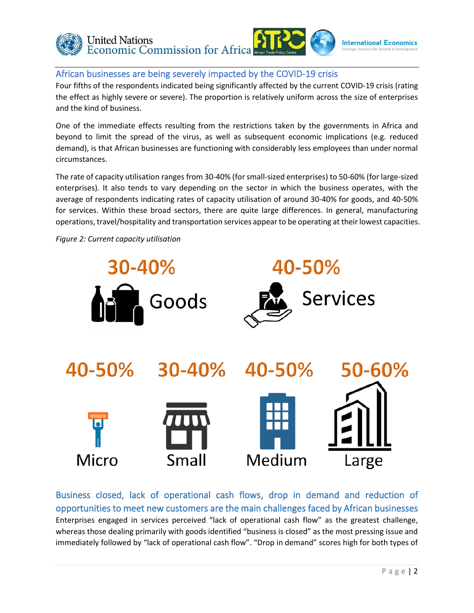

### African businesses are being severely impacted by the COVID-19 crisis

Four fifths of the respondents indicated being significantly affected by the current COVID-19 crisis (rating the effect as highly severe or severe). The proportion is relatively uniform across the size of enterprises and the kind of business.

One of the immediate effects resulting from the restrictions taken by the governments in Africa and beyond to limit the spread of the virus, as well as subsequent economic implications (e.g. reduced demand), is that African businesses are functioning with considerably less employees than under normal circumstances.

The rate of capacity utilisation ranges from 30-40% (for small-sized enterprises) to 50-60% (for large-sized enterprises). It also tends to vary depending on the sector in which the business operates, with the average of respondents indicating rates of capacity utilisation of around 30-40% for goods, and 40-50% for services. Within these broad sectors, there are quite large differences. In general, manufacturing operations, travel/hospitality and transportation services appear to be operating at their lowest capacities.

*Figure 2: Current capacity utilisation*



Business closed, lack of operational cash flows, drop in demand and reduction of opportunities to meet new customers are the main challenges faced by African businesses Enterprises engaged in services perceived "lack of operational cash flow" as the greatest challenge, whereas those dealing primarily with goods identified "business is closed" as the most pressing issue and immediately followed by "lack of operational cash flow". "Drop in demand" scores high for both types of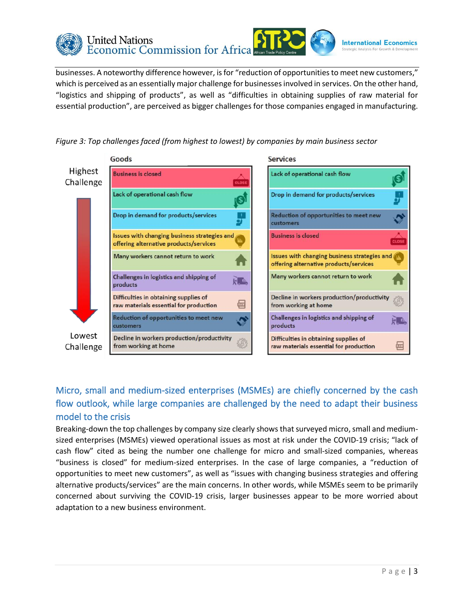

businesses. A noteworthy difference however, is for "reduction of opportunities to meet new customers," which is perceived as an essentially major challenge for businesses involved in services. On the other hand, "logistics and shipping of products", as well as "difficulties in obtaining supplies of raw material for essential production", are perceived as bigger challenges for those companies engaged in manufacturing.







# Micro, small and medium-sized enterprises (MSMEs) are chiefly concerned by the cash flow outlook, while large companies are challenged by the need to adapt their business model to the crisis

Breaking-down the top challenges by company size clearly shows that surveyed micro, small and mediumsized enterprises (MSMEs) viewed operational issues as most at risk under the COVID-19 crisis; "lack of cash flow" cited as being the number one challenge for micro and small-sized companies, whereas "business is closed" for medium-sized enterprises. In the case of large companies, a "reduction of opportunities to meet new customers", as well as "issues with changing business strategies and offering alternative products/services" are the main concerns. In other words, while MSMEs seem to be primarily concerned about surviving the COVID-19 crisis, larger businesses appear to be more worried about adaptation to a new business environment.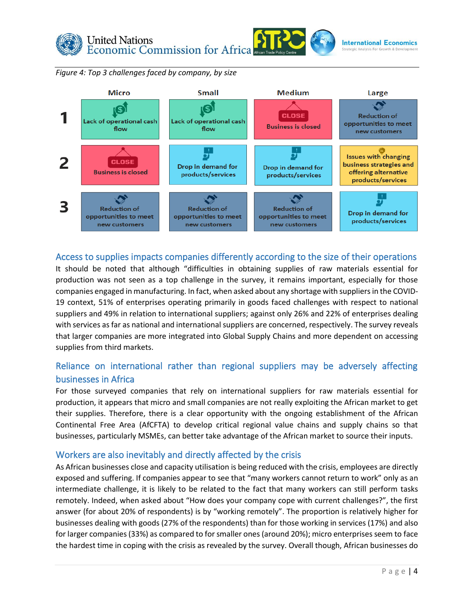





### Access to supplies impacts companies differently according to the size of their operations

It should be noted that although "difficulties in obtaining supplies of raw materials essential for production was not seen as a top challenge in the survey, it remains important, especially for those companies engaged in manufacturing. In fact, when asked about any shortage with suppliers in the COVID-19 context, 51% of enterprises operating primarily in goods faced challenges with respect to national suppliers and 49% in relation to international suppliers; against only 26% and 22% of enterprises dealing with services as far as national and international suppliers are concerned, respectively. The survey reveals that larger companies are more integrated into Global Supply Chains and more dependent on accessing supplies from third markets.

### Reliance on international rather than regional suppliers may be adversely affecting businesses in Africa

For those surveyed companies that rely on international suppliers for raw materials essential for production, it appears that micro and small companies are not really exploiting the African market to get their supplies. Therefore, there is a clear opportunity with the ongoing establishment of the African Continental Free Area (AfCFTA) to develop critical regional value chains and supply chains so that businesses, particularly MSMEs, can better take advantage of the African market to source their inputs.

### Workers are also inevitably and directly affected by the crisis

As African businesses close and capacity utilisation is being reduced with the crisis, employees are directly exposed and suffering. If companies appear to see that "many workers cannot return to work" only as an intermediate challenge, it is likely to be related to the fact that many workers can still perform tasks remotely. Indeed, when asked about "How does your company cope with current challenges?", the first answer (for about 20% of respondents) is by "working remotely". The proportion is relatively higher for businesses dealing with goods (27% of the respondents) than for those working in services (17%) and also for larger companies (33%) as compared to for smaller ones (around 20%); micro enterprises seem to face the hardest time in coping with the crisis as revealed by the survey. Overall though, African businesses do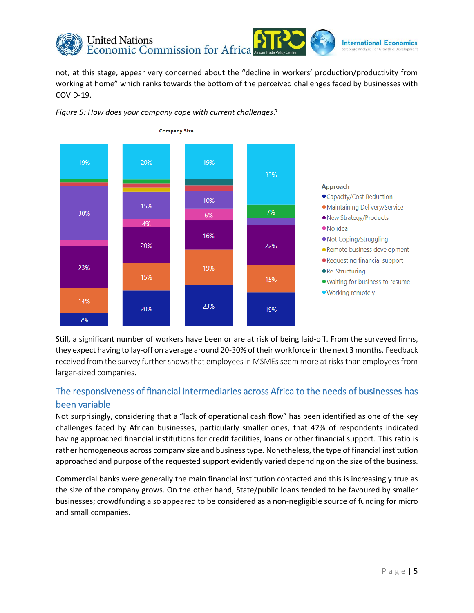

not, at this stage, appear very concerned about the "decline in workers' production/productivity from working at home" which ranks towards the bottom of the perceived challenges faced by businesses with COVID-19.



*Figure 5: How does your company cope with current challenges?*

Still, a significant number of workers have been or are at risk of being laid-off. From the surveyed firms, they expect having to lay-off on average around 20-30% of their workforce in the next 3 months. Feedback received from the survey further shows that employees in MSMEs seem more at risks than employees from larger-sized companies.

## The responsiveness of financial intermediaries across Africa to the needs of businesses has been variable

Not surprisingly, considering that a "lack of operational cash flow" has been identified as one of the key challenges faced by African businesses, particularly smaller ones, that 42% of respondents indicated having approached financial institutions for credit facilities, loans or other financial support. This ratio is rather homogeneous across company size and business type. Nonetheless, the type of financial institution approached and purpose of the requested support evidently varied depending on the size of the business.

Commercial banks were generally the main financial institution contacted and this is increasingly true as the size of the company grows. On the other hand, State/public loans tended to be favoured by smaller businesses; crowdfunding also appeared to be considered as a non-negligible source of funding for micro and small companies.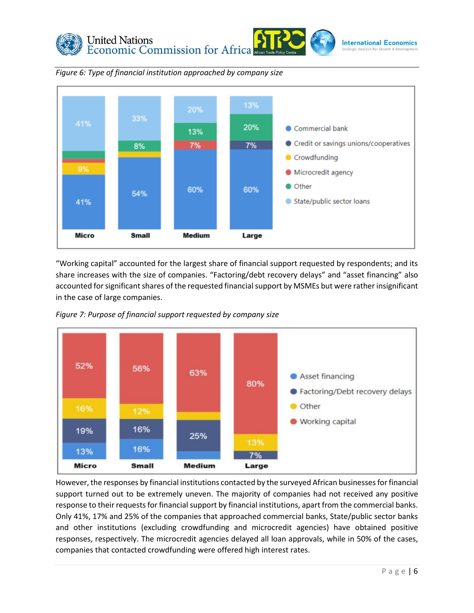



*Figure 6: Type of financial institution approached by company size*

"Working capital" accounted for the largest share of financial support requested by respondents; and its share increases with the size of companies. "Factoring/debt recovery delays" and "asset financing" also accounted for significant shares of the requested financial support by MSMEs but were rather insignificant in the case of large companies.



*Figure 7: Purpose of financial support requested by company size*

However, the responses by financial institutions contacted by the surveyed African businesses for financial support turned out to be extremely uneven. The majority of companies had not received any positive response to their requests for financial support by financial institutions, apart from the commercial banks. Only 41%, 17% and 25% of the companies that approached commercial banks, State/public sector banks and other institutions (excluding crowdfunding and microcredit agencies) have obtained positive responses, respectively. The microcredit agencies delayed all loan approvals, while in 50% of the cases, companies that contacted crowdfunding were offered high interest rates.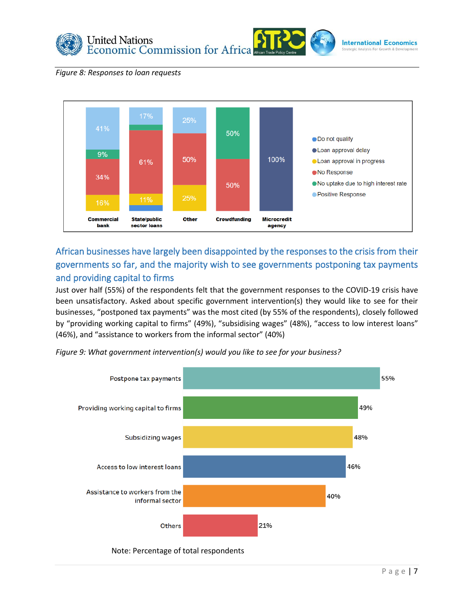

#### *Figure 8: Responses to loan requests*



# African businesses have largely been disappointed by the responses to the crisis from their governments so far, and the majority wish to see governments postponing tax payments and providing capital to firms

Just over half (55%) of the respondents felt that the government responses to the COVID-19 crisis have been unsatisfactory. Asked about specific government intervention(s) they would like to see for their businesses, "postponed tax payments" was the most cited (by 55% of the respondents), closely followed by "providing working capital to firms" (49%), "subsidising wages" (48%), "access to low interest loans" (46%), and "assistance to workers from the informal sector" (40%)



*Figure 9: What government intervention(s) would you like to see for your business?*

#### Note: Percentage of total respondents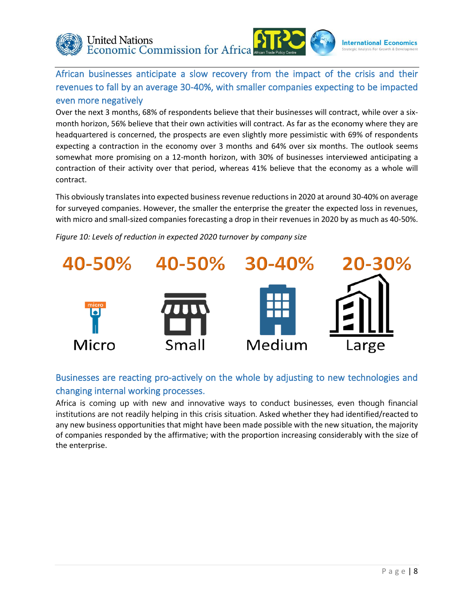

African businesses anticipate a slow recovery from the impact of the crisis and their revenues to fall by an average 30-40%, with smaller companies expecting to be impacted even more negatively

Over the next 3 months, 68% of respondents believe that their businesses will contract, while over a sixmonth horizon, 56% believe that their own activities will contract. As far as the economy where they are headquartered is concerned, the prospects are even slightly more pessimistic with 69% of respondents expecting a contraction in the economy over 3 months and 64% over six months. The outlook seems somewhat more promising on a 12-month horizon, with 30% of businesses interviewed anticipating a contraction of their activity over that period, whereas 41% believe that the economy as a whole will contract.

This obviously translates into expected business revenue reductions in 2020 at around 30-40% on average for surveyed companies. However, the smaller the enterprise the greater the expected loss in revenues, with micro and small-sized companies forecasting a drop in their revenues in 2020 by as much as 40-50%.

*Figure 10: Levels of reduction in expected 2020 turnover by company size*



## Businesses are reacting pro-actively on the whole by adjusting to new technologies and changing internal working processes.

Africa is coming up with new and innovative ways to conduct businesses, even though financial institutions are not readily helping in this crisis situation. Asked whether they had identified/reacted to any new business opportunities that might have been made possible with the new situation, the majority of companies responded by the affirmative; with the proportion increasing considerably with the size of the enterprise.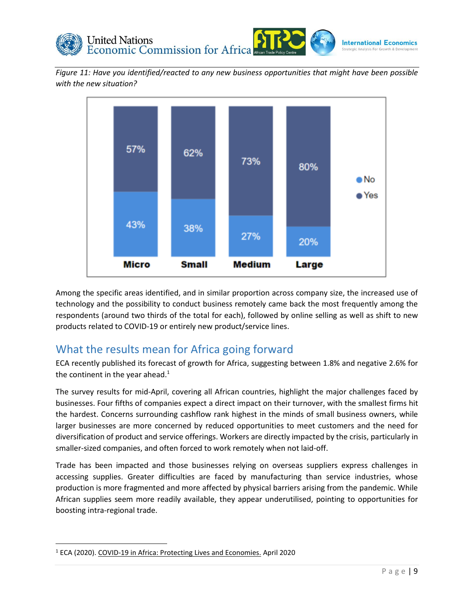

*Figure 11: Have you identified/reacted to any new business opportunities that might have been possible with the new situation?*



Among the specific areas identified, and in similar proportion across company size, the increased use of technology and the possibility to conduct business remotely came back the most frequently among the respondents (around two thirds of the total for each), followed by online selling as well as shift to new products related to COVID-19 or entirely new product/service lines.

# What the results mean for Africa going forward

ECA recently published its forecast of growth for Africa, suggesting between 1.8% and negative 2.6% for the continent in the year ahead.<sup>1</sup>

The survey results for mid-April, covering all African countries, highlight the major challenges faced by businesses. Four fifths of companies expect a direct impact on their turnover, with the smallest firms hit the hardest. Concerns surrounding cashflow rank highest in the minds of small business owners, while larger businesses are more concerned by reduced opportunities to meet customers and the need for diversification of product and service offerings. Workers are directly impacted by the crisis, particularly in smaller-sized companies, and often forced to work remotely when not laid-off.

Trade has been impacted and those businesses relying on overseas suppliers express challenges in accessing supplies. Greater difficulties are faced by manufacturing than service industries, whose production is more fragmented and more affected by physical barriers arising from the pandemic. While African supplies seem more readily available, they appear underutilised, pointing to opportunities for boosting intra-regional trade.

<sup>1</sup> ECA (2020). COVID-19 in Africa: Protecting Lives and Economies. April 2020